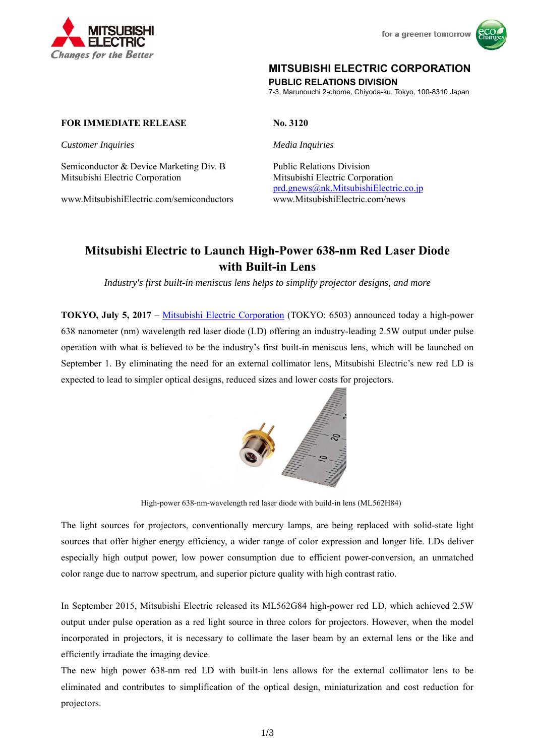



## **MITSUBISHI ELECTRIC CORPORATION**

**PUBLIC RELATIONS DIVISION** 

7-3, Marunouchi 2-chome, Chiyoda-ku, Tokyo, 100-8310 Japan

#### **FOR IMMEDIATE RELEASE** No. 3120

*Customer Inquiries Media Inquiries* 

Semiconductor & Device Marketing Div. B Public Relations Division Mitsubishi Electric Corporation Mitsubishi Electric Corporation

www.MitsubishiElectric.com/semiconductors www.MitsubishiElectric.com/news

prd.gnews@nk.MitsubishiElectric.co.jp

# **Mitsubishi Electric to Launch High-Power 638-nm Red Laser Diode with Built-in Lens**

*Industry's first built-in meniscus lens helps to simplify projector designs, and more* 

**TOKYO, July 5, 2017** – Mitsubishi Electric Corporation (TOKYO: 6503) announced today a high-power 638 nanometer (nm) wavelength red laser diode (LD) offering an industry-leading 2.5W output under pulse operation with what is believed to be the industry's first built-in meniscus lens, which will be launched on September 1. By eliminating the need for an external collimator lens, Mitsubishi Electric's new red LD is expected to lead to simpler optical designs, reduced sizes and lower costs for projectors.



High-power 638-nm-wavelength red laser diode with build-in lens (ML562H84)

The light sources for projectors, conventionally mercury lamps, are being replaced with solid-state light sources that offer higher energy efficiency, a wider range of color expression and longer life. LDs deliver especially high output power, low power consumption due to efficient power-conversion, an unmatched color range due to narrow spectrum, and superior picture quality with high contrast ratio.

In September 2015, Mitsubishi Electric released its ML562G84 high-power red LD, which achieved 2.5W output under pulse operation as a red light source in three colors for projectors. However, when the model incorporated in projectors, it is necessary to collimate the laser beam by an external lens or the like and efficiently irradiate the imaging device.

The new high power 638-nm red LD with built-in lens allows for the external collimator lens to be eliminated and contributes to simplification of the optical design, miniaturization and cost reduction for projectors.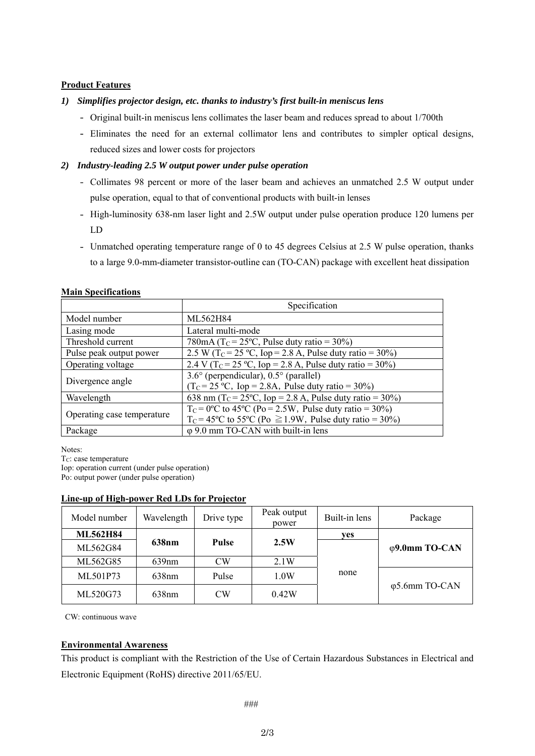#### **Product Features**

## *1) Simplifies projector design, etc. thanks to industry's first built-in meniscus lens*

- Original built-in meniscus lens collimates the laser beam and reduces spread to about 1/700th
- Eliminates the need for an external collimator lens and contributes to simpler optical designs, reduced sizes and lower costs for projectors

## *2) Industry-leading 2.5 W output power under pulse operation*

- Collimates 98 percent or more of the laser beam and achieves an unmatched 2.5 W output under pulse operation, equal to that of conventional products with built-in lenses
- High-luminosity 638-nm laser light and 2.5W output under pulse operation produce 120 lumens per LD
- Unmatched operating temperature range of 0 to 45 degrees Celsius at 2.5 W pulse operation, thanks to a large 9.0-mm-diameter transistor-outline can (TO-CAN) package with excellent heat dissipation

|                            | Specification                                                                                                                                   |  |  |  |
|----------------------------|-------------------------------------------------------------------------------------------------------------------------------------------------|--|--|--|
| Model number               | ML562H84                                                                                                                                        |  |  |  |
| Lasing mode                | Lateral multi-mode                                                                                                                              |  |  |  |
| Threshold current          | 780mA (T <sub>C</sub> = 25 <sup>o</sup> C, Pulse duty ratio = 30%)                                                                              |  |  |  |
| Pulse peak output power    | 2.5 W (T <sub>C</sub> = 25 °C, Iop = 2.8 A, Pulse duty ratio = 30%)                                                                             |  |  |  |
| Operating voltage          | 2.4 V (T <sub>C</sub> = 25 °C, Iop = 2.8 A, Pulse duty ratio = 30%)                                                                             |  |  |  |
| Divergence angle           | $3.6^{\circ}$ (perpendicular), $0.5^{\circ}$ (parallel)<br>$(TC= 25 °C, Iop = 2.8A, Pulse duty ratio = 30%)$                                    |  |  |  |
| Wavelength                 | 638 nm (T <sub>C</sub> = 25°C, Iop = 2.8 A, Pulse duty ratio = 30%)                                                                             |  |  |  |
| Operating case temperature | $T_c = 0$ °C to 45°C (Po = 2.5W, Pulse duty ratio = 30%)<br>$T_c = 45^{\circ}$ C to 55 <sup>o</sup> C (Po $\geq 1.9W$ , Pulse duty ratio = 30%) |  |  |  |
| Package                    | $\varphi$ 9.0 mm TO-CAN with built-in lens                                                                                                      |  |  |  |

### **Main Specifications**

Notes:

T<sub>C</sub>: case temperature

Iop: operation current (under pulse operation)

Po: output power (under pulse operation)

## **Line-up of High-power Red LDs for Projector**

| Model number    | Wavelength        | Drive type   | Peak output<br>power | Built-in lens | Package       |
|-----------------|-------------------|--------------|----------------------|---------------|---------------|
| <b>ML562H84</b> | 638nm             |              |                      | ves           |               |
| ML562G84        |                   | <b>Pulse</b> | 2.5W                 |               | φ9.0mm TO-CAN |
| ML562G85        | 639nm             | CW           | 2.1W                 | none          |               |
| ML501P73        | 638nm             | Pulse        | 1.0W                 |               | φ5.6mm TO-CAN |
| ML520G73        | 638 <sub>nm</sub> | CW           | 0.42W                |               |               |

CW: continuous wave

## **Environmental Awareness**

This product is compliant with the Restriction of the Use of Certain Hazardous Substances in Electrical and Electronic Equipment (RoHS) directive 2011/65/EU.